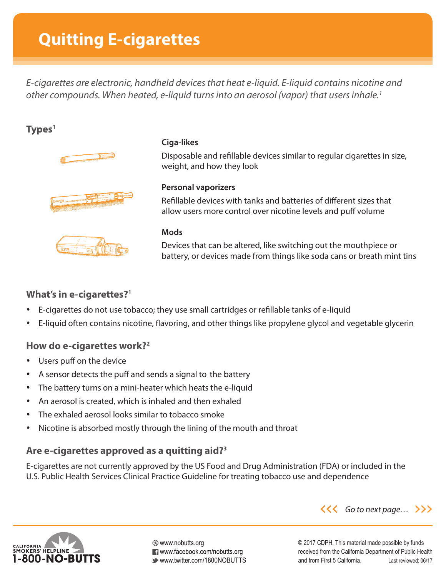# **Quitting E-cigarettes**

*E-cigarettes are electronic, handheld devices that heat e-liquid. E-liquid contains nicotine and other compounds. When heated, e-liquid turns into an aerosol (vapor) that users inhale.1*

# **Types1**







#### **Ciga-likes**

Disposable and refillable devices similar to regular cigarettes in size, weight, and how they look

### **Personal vaporizers**

Refillable devices with tanks and batteries of different sizes that allow users more control over nicotine levels and puff volume

#### **Mods**

Devices that can be altered, like switching out the mouthpiece or battery, or devices made from things like soda cans or breath mint tins

## **What's in e-cigarettes?1**

- E-cigarettes do not use tobacco; they use small cartridges or refillable tanks of e-liquid
- E-liquid often contains nicotine, flavoring, and other things like propylene glycol and vegetable glycerin

## **How do e-cigarettes work?2**

- Users puff on the device
- A sensor detects the puff and sends a signal to the battery
- The battery turns on a mini-heater which heats the e-liquid
- An aerosol is created, which is inhaled and then exhaled
- The exhaled aerosol looks similar to tobacco smoke
- Nicotine is absorbed mostly through the lining of the mouth and throat

## **Are e-cigarettes approved as a quitting aid?3**

E-cigarettes are not currently approved by the US Food and Drug Administration (FDA) or included in the U.S. Public Health Services Clinical Practice Guideline for treating tobacco use and dependence



⊛ www.nobutts.org **T** www.facebook.com/nobutts.org ■ www.twitter.com/1800NOBUTTS *Go to next page…*

© 2017 CDPH. This material made possible by funds received from the California Department of Public Health and from First 5 California. Last reviewed: 06/17